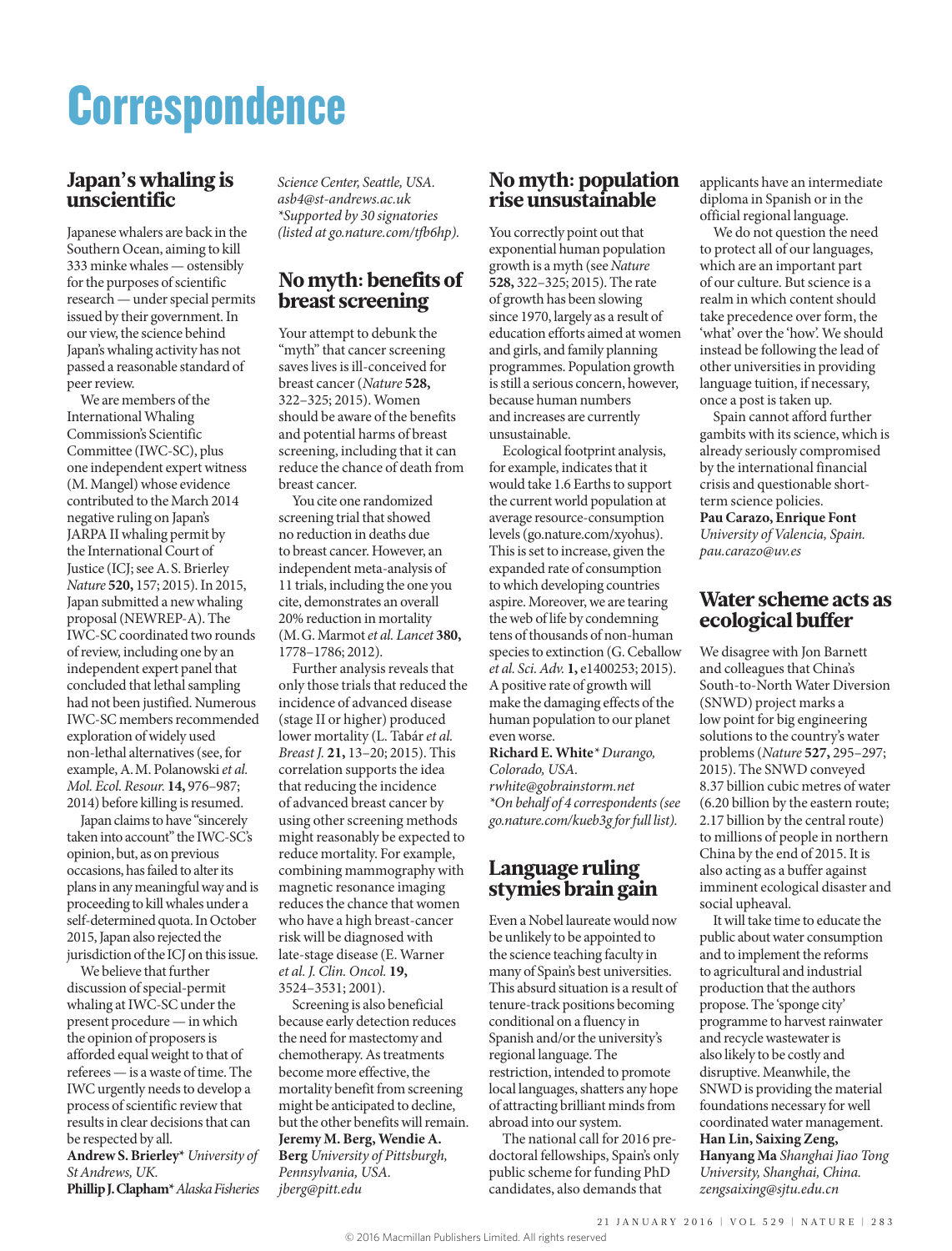# **Correspondence**

## Japan's whaling is unscientific

Japanese whalers are back in the Southern Ocean, aiming to kill 333 minke whales — ostensibly for the purposes of scientific research — under special permits issued by their government. In our view, the science behind Japan's whaling activity has not passed a reasonable standard of peer review.

We are members of the International Whaling Commission's Scientific Committee (IWC-SC), plus one independent expert witness (M. Mangel) whose evidence contributed to the March 2014 negative ruling on Japan's JARPA II whaling permit by the International Court of Justice (ICJ; see A.S. Brierley *Nature* **520,** 157; 2015). In 2015, Japan submitted a new whaling proposal (NEWREP-A). The IWC-SC coordinated two rounds of review, including one by an independent expert panel that concluded that lethal sampling had not been justified. Numerous IWC-SC members recommended exploration of widely used non-lethal alternatives (see, for example, A.M. Polanowski *et al. Mol. Ecol. Resour.* **14,** 976–987; 2014) before killing is resumed.

Japan claims to have "sincerely taken into account" the IWC-SC's opinion, but, as on previous occasions, has failed to alter its plans in any meaningful way and is proceeding to kill whales under a self-determined quota. In October 2015, Japan also rejected the jurisdiction of the ICJ on this issue.

We believe that further discussion of special-permit whaling at IWC-SC under the present procedure — in which the opinion of proposers is afforded equal weight to that of referees — is a waste of time. The IWC urgently needs to develop a process of scientific review that results in clear decisions that can be respected by all.

**Andrew S. Brierley\*** *University of St Andrews, UK.* **Phillip J. Clapham\*** *Alaska Fisheries*  *Science Center, Seattle, USA. asb4@st-andrews.ac.uk \*Supported by 30 signatories (listed at go.nature.com/tfb6hp).* 

# No myth: benefits of breast screening

Your attempt to debunk the "myth" that cancer screening saves lives is ill-conceived for breast cancer (*Nature* **528,** 322–325; 2015). Women should be aware of the benefits and potential harms of breast screening, including that it can reduce the chance of death from breast cancer.

You cite one randomized screening trial that showed no reduction in deaths due to breast cancer. However, an independent meta-analysis of 11 trials, including the one you cite, demonstrates an overall 20% reduction in mortality (M.G. Marmot *et al. Lancet* **380,** 1778–1786; 2012).

Further analysis reveals that only those trials that reduced the incidence of advanced disease (stage II or higher) produced lower mortality (L. Tabár *et al. Breast J.* **21,** 13–20; 2015). This correlation supports the idea that reducing the incidence of advanced breast cancer by using other screening methods might reasonably be expected to reduce mortality. For example, combining mammography with magnetic resonance imaging reduces the chance that women who have a high breast-cancer risk will be diagnosed with late-stage disease (E. Warner *et al. J. Clin. Oncol.* **19,** 3524–3531; 2001).

Screening is also beneficial because early detection reduces the need for mastectomy and chemotherapy. As treatments become more effective, the mortality benefit from screening might be anticipated to decline, but the other benefits will remain. **Jeremy M. Berg, Wendie A. Berg** *University of Pittsburgh, Pennsylvania, USA. jberg@pitt.edu*

#### No myth: population rise unsustainable

You correctly point out that exponential human population growth is a myth (see *Nature* **528,** 322–325; 2015). The rate of growth has been slowing since 1970, largely as a result of education efforts aimed at women and girls, and family planning programmes. Population growth is still a serious concern, however, because human numbers and increases are currently unsustainable.

Ecological footprint analysis, for example, indicates that it would take 1.6 Earths to support the current world population at average resource-consumption levels (go.nature.com/xyohus). This is set to increase, given the expanded rate of consumption to which developing countries aspire. Moreover, we are tearing the web of life by condemning tens of thousands of non-human species to extinction (G. Ceballow *et al. Sci. Adv.* **1,** e1400253; 2015). A positive rate of growth will make the damaging effects of the human population to our planet even worse.

**Richard E. White***\* Durango, Colorado, USA. rwhite@gobrainstorm.net \*On behalf of 4 correspondents (see go.nature.com/kueb3g for full list).*

# Language ruling stymies brain gain

Even a Nobel laureate would now be unlikely to be appointed to the science teaching faculty in many of Spain's best universities. This absurd situation is a result of tenure-track positions becoming conditional on a fluency in Spanish and/or the university's regional language. The restriction, intended to promote local languages, shatters any hope of attracting brilliant minds from abroad into our system.

The national call for 2016 predoctoral fellowships, Spain's only public scheme for funding PhD candidates, also demands that

applicants have an intermediate diploma in Spanish or in the official regional language.

We do not question the need to protect all of our languages, which are an important part of our culture. But science is a realm in which content should take precedence over form, the 'what' over the 'how'. We should instead be following the lead of other universities in providing language tuition, if necessary, once a post is taken up.

Spain cannot afford further gambits with its science, which is already seriously compromised by the international financial crisis and questionable shortterm science policies.

**Pau Carazo, Enrique Font** *University of Valencia, Spain. pau.carazo@uv.es*

## Water scheme acts as ecological buffer

We disagree with Jon Barnett and colleagues that China's South-to-North Water Diversion (SNWD) project marks a low point for big engineering solutions to the country's water problems (*Nature* **527,** 295–297; 2015). The SNWD conveyed 8.37 billion cubic metres of water (6.20 billion by the eastern route; 2.17 billion by the central route) to millions of people in northern China by the end of 2015. It is also acting as a buffer against imminent ecological disaster and social upheaval.

It will take time to educate the public about water consumption and to implement the reforms to agricultural and industrial production that the authors propose. The 'sponge city' programme to harvest rainwater and recycle wastewater is also likely to be costly and disruptive. Meanwhile, the SNWD is providing the material foundations necessary for well coordinated water management. **Han Lin, Saixing Zeng, Hanyang Ma** *Shanghai Jiao Tong University, Shanghai, China. zengsaixing@sjtu.edu.cn*